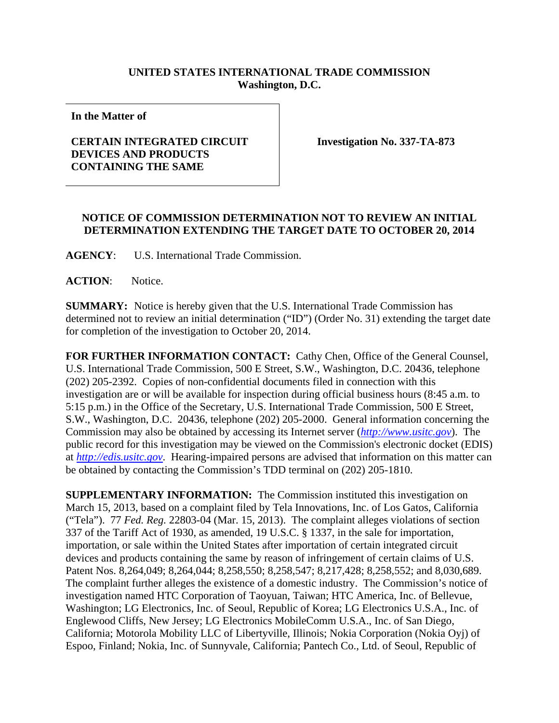## **UNITED STATES INTERNATIONAL TRADE COMMISSION Washington, D.C.**

**In the Matter of** 

## **CERTAIN INTEGRATED CIRCUIT DEVICES AND PRODUCTS CONTAINING THE SAME**

**Investigation No. 337-TA-873** 

## **NOTICE OF COMMISSION DETERMINATION NOT TO REVIEW AN INITIAL DETERMINATION EXTENDING THE TARGET DATE TO OCTOBER 20, 2014**

**AGENCY**: U.S. International Trade Commission.

**ACTION**: Notice.

**SUMMARY:** Notice is hereby given that the U.S. International Trade Commission has determined not to review an initial determination ("ID") (Order No. 31) extending the target date for completion of the investigation to October 20, 2014.

**FOR FURTHER INFORMATION CONTACT:** Cathy Chen, Office of the General Counsel, U.S. International Trade Commission, 500 E Street, S.W., Washington, D.C. 20436, telephone (202) 205-2392. Copies of non-confidential documents filed in connection with this investigation are or will be available for inspection during official business hours (8:45 a.m. to 5:15 p.m.) in the Office of the Secretary, U.S. International Trade Commission, 500 E Street, S.W., Washington, D.C. 20436, telephone (202) 205-2000. General information concerning the Commission may also be obtained by accessing its Internet server (*http://www.usitc.gov*). The public record for this investigation may be viewed on the Commission's electronic docket (EDIS) at *http://edis.usitc.gov*. Hearing-impaired persons are advised that information on this matter can be obtained by contacting the Commission's TDD terminal on (202) 205-1810.

**SUPPLEMENTARY INFORMATION:** The Commission instituted this investigation on March 15, 2013, based on a complaint filed by Tela Innovations, Inc. of Los Gatos, California ("Tela"). 77 *Fed. Reg.* 22803-04 (Mar. 15, 2013). The complaint alleges violations of section 337 of the Tariff Act of 1930, as amended, 19 U.S.C. § 1337, in the sale for importation, importation, or sale within the United States after importation of certain integrated circuit devices and products containing the same by reason of infringement of certain claims of U.S. Patent Nos. 8,264,049; 8,264,044; 8,258,550; 8,258,547; 8,217,428; 8,258,552; and 8,030,689. The complaint further alleges the existence of a domestic industry. The Commission's notice of investigation named HTC Corporation of Taoyuan, Taiwan; HTC America, Inc. of Bellevue, Washington; LG Electronics, Inc. of Seoul, Republic of Korea; LG Electronics U.S.A., Inc. of Englewood Cliffs, New Jersey; LG Electronics MobileComm U.S.A., Inc. of San Diego, California; Motorola Mobility LLC of Libertyville, Illinois; Nokia Corporation (Nokia Oyj) of Espoo, Finland; Nokia, Inc. of Sunnyvale, California; Pantech Co., Ltd. of Seoul, Republic of